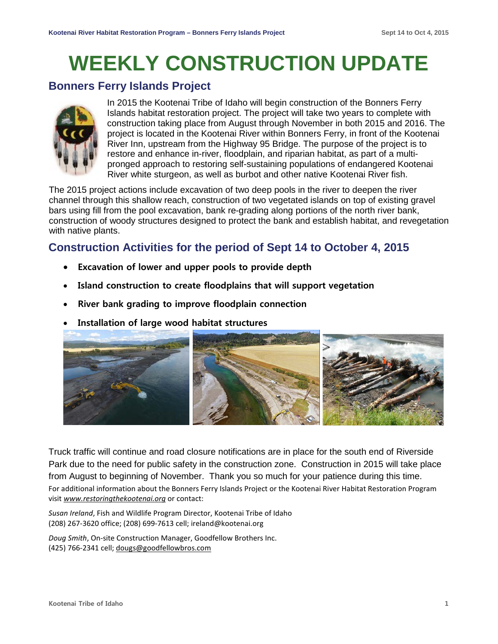# **WEEKLY CONSTRUCTION UPDATE**

### **Bonners Ferry Islands Project**



In 2015 the Kootenai Tribe of Idaho will begin construction of the Bonners Ferry Islands habitat restoration project. The project will take two years to complete with construction taking place from August through November in both 2015 and 2016. The project is located in the Kootenai River within Bonners Ferry, in front of the Kootenai River Inn, upstream from the Highway 95 Bridge. The purpose of the project is to restore and enhance in-river, floodplain, and riparian habitat, as part of a multipronged approach to restoring self-sustaining populations of endangered Kootenai River white sturgeon, as well as burbot and other native Kootenai River fish.

The 2015 project actions include excavation of two deep pools in the river to deepen the river channel through this shallow reach, construction of two vegetated islands on top of existing gravel bars using fill from the pool excavation, bank re-grading along portions of the north river bank, construction of woody structures designed to protect the bank and establish habitat, and revegetation with native plants.

# **Construction Activities for the period of Sept 14 to October 4, 2015**

- **Excavation of lower and upper pools to provide depth**
- **Island construction to create floodplains that will support vegetation**
- **River bank grading to improve floodplain connection**
- **Installation of large wood habitat structures**



Truck traffic will continue and road closure notifications are in place for the south end of Riverside Park due to the need for public safety in the construction zone. Construction in 2015 will take place from August to beginning of November. Thank you so much for your patience during this time. For additional information about the Bonners Ferry Islands Project or the Kootenai River Habitat Restoration Program visit *[www.restoringthekootenai.org](http://www.restoringthekootenai.org/)* or contact:

*Susan Ireland*, Fish and Wildlife Program Director, Kootenai Tribe of Idaho (208) 267-3620 office; (208) 699-7613 cell; [ireland@kootenai.org](mailto:ireland@kootenai.org)

*Doug Smith*, On-site Construction Manager, Goodfellow Brothers Inc. (425) 766-2341 cell; [dougs@goodfellowbros.com](mailto:dougs@goodfellowbros.com)